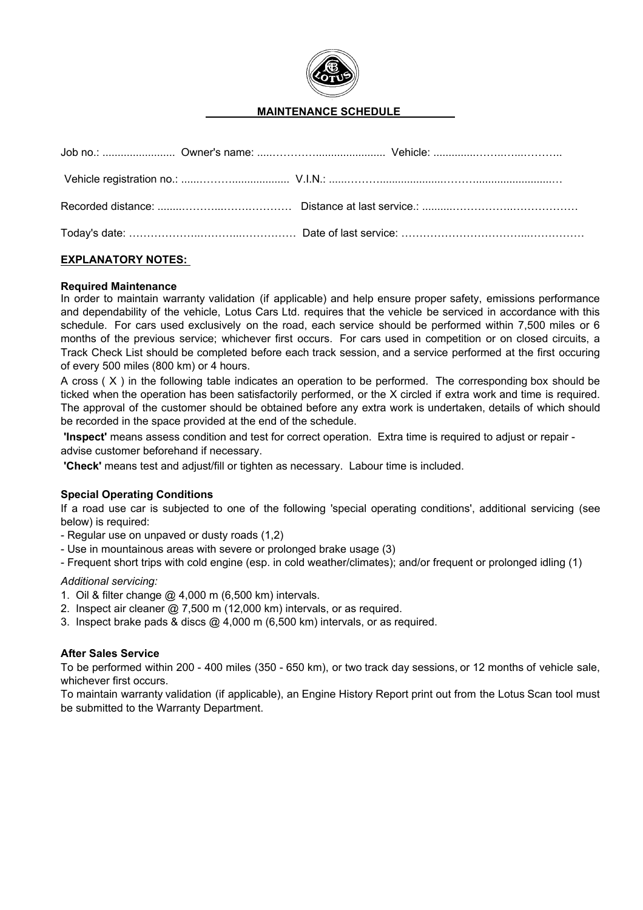

# **MAINTENANCE SCHEDULE**

## **EXPLANATORY NOTES:**

### **Required Maintenance**

In order to maintain warranty validation (if applicable) and help ensure proper safety, emissions performance and dependability of the vehicle, Lotus Cars Ltd. requires that the vehicle be serviced in accordance with this schedule. For cars used exclusively on the road, each service should be performed within 7,500 miles or 6 months of the previous service; whichever first occurs. For cars used in competition or on closed circuits, a Track Check List should be completed before each track session, and a service performed at the first occuring of every 500 miles (800 km) or 4 hours.

A cross ( X ) in the following table indicates an operation to be performed. The corresponding box should be ticked when the operation has been satisfactorily performed, or the X circled if extra work and time is required. The approval of the customer should be obtained before any extra work is undertaken, details of which should be recorded in the space provided at the end of the schedule.

 **'Inspect'** means assess condition and test for correct operation. Extra time is required to adjust or repair advise customer beforehand if necessary.

 **'Check'** means test and adjust/fill or tighten as necessary. Labour time is included.

### **Special Operating Conditions**

If a road use car is subjected to one of the following 'special operating conditions', additional servicing (see below) is required:

- Regular use on unpaved or dusty roads (1,2)
- Use in mountainous areas with severe or prolonged brake usage (3)
- Frequent short trips with cold engine (esp. in cold weather/climates); and/or frequent or prolonged idling (1)

#### *Additional servicing:*

- 1. Oil & filter change @ 4,000 m (6,500 km) intervals.
- 2. Inspect air cleaner @ 7,500 m (12,000 km) intervals, or as required.
- 3. Inspect brake pads & discs @ 4,000 m (6,500 km) intervals, or as required.

### **After Sales Service**

To be performed within 200 - 400 miles (350 - 650 km), or two track day sessions, or 12 months of vehicle sale, whichever first occurs.

To maintain warranty validation (if applicable), an Engine History Report print out from the Lotus Scan tool must be submitted to the Warranty Department.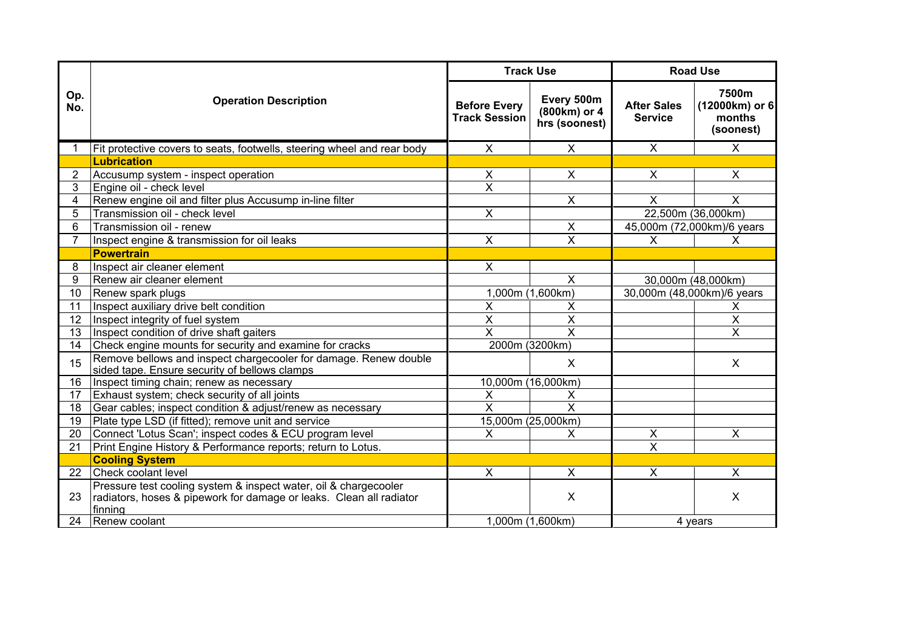|                 |                                                                                                                   | <b>Track Use</b>                            |                                             | <b>Road Use</b>                      |                                                |
|-----------------|-------------------------------------------------------------------------------------------------------------------|---------------------------------------------|---------------------------------------------|--------------------------------------|------------------------------------------------|
| Op.<br>No.      | <b>Operation Description</b>                                                                                      | <b>Before Every</b><br><b>Track Session</b> | Every 500m<br>(800km) or 4<br>hrs (soonest) | <b>After Sales</b><br><b>Service</b> | 7500m<br>(12000km) or 6<br>months<br>(soonest) |
| -1              | Fit protective covers to seats, footwells, steering wheel and rear body                                           | $\boldsymbol{\mathsf{X}}$                   | X                                           | $\overline{X}$                       | $\sf X$                                        |
|                 | <b>Lubrication</b>                                                                                                |                                             |                                             |                                      |                                                |
| 2               | Accusump system - inspect operation                                                                               | X                                           | X                                           | X                                    | X                                              |
| 3               | Engine oil - check level                                                                                          | $\overline{\mathsf{x}}$                     |                                             |                                      |                                                |
| 4               | Renew engine oil and filter plus Accusump in-line filter                                                          |                                             | X                                           | $\times$                             | $\sf X$                                        |
| 5               | Transmission oil - check level                                                                                    | $\overline{\mathsf{x}}$                     |                                             |                                      | 22,500m (36,000km)                             |
| 6               | Transmission oil - renew                                                                                          |                                             | $\boldsymbol{\mathsf{X}}$                   |                                      | 45,000m (72,000km)/6 years                     |
| $\overline{7}$  | Inspect engine & transmission for oil leaks                                                                       | $\overline{\mathsf{x}}$                     | $\overline{\mathsf{x}}$                     | $\mathsf{X}$                         | $\times$                                       |
|                 | <b>Powertrain</b>                                                                                                 |                                             |                                             |                                      |                                                |
| 8               | Inspect air cleaner element                                                                                       | X                                           |                                             |                                      |                                                |
| 9               | Renew air cleaner element                                                                                         |                                             | $\overline{\mathsf{x}}$                     |                                      | 30,000m (48,000km)                             |
| 10 <sup>1</sup> | 1,000m (1,600km)<br>Renew spark plugs                                                                             |                                             |                                             |                                      | 30,000m (48,000km)/6 years                     |
| 11              | Inspect auxiliary drive belt condition                                                                            | X                                           | х                                           |                                      | X                                              |
| 12              | Inspect integrity of fuel system                                                                                  | $\overline{\mathsf{x}}$                     | X                                           |                                      | $\overline{X}$                                 |
| 13              | Inspect condition of drive shaft gaiters                                                                          | X                                           | X                                           |                                      | $\overline{\mathsf{x}}$                        |
| 14              | Check engine mounts for security and examine for cracks                                                           | 2000m (3200km)                              |                                             |                                      |                                                |
| 15              | Remove bellows and inspect chargecooler for damage. Renew double<br>sided tape. Ensure security of bellows clamps |                                             | X                                           |                                      | $\times$                                       |
| 16              | Inspect timing chain; renew as necessary                                                                          | 10,000m (16,000km)                          |                                             |                                      |                                                |
| 17              | Exhaust system; check security of all joints                                                                      | X                                           | X                                           |                                      |                                                |
| 18              | Gear cables; inspect condition & adjust/renew as necessary                                                        | $\overline{\mathsf{x}}$                     | $\overline{\mathsf{x}}$                     |                                      |                                                |
| 19              | Plate type LSD (if fitted); remove unit and service                                                               | 15,000m (25,000km)                          |                                             |                                      |                                                |
| 20              | Connect 'Lotus Scan'; inspect codes & ECU program level                                                           | X                                           | X                                           | $\pmb{\times}$                       | X                                              |
| 21              | Print Engine History & Performance reports; return to Lotus.                                                      |                                             |                                             | $\overline{\mathsf{x}}$              |                                                |
|                 | <b>Cooling System</b>                                                                                             |                                             |                                             |                                      |                                                |
| 22              | Check coolant level                                                                                               | X                                           | X                                           | $\boldsymbol{\mathsf{X}}$            | X                                              |
|                 | Pressure test cooling system & inspect water, oil & chargecooler                                                  |                                             |                                             |                                      |                                                |
| 23              | radiators, hoses & pipework for damage or leaks. Clean all radiator                                               |                                             | X                                           |                                      | X                                              |
|                 | finning                                                                                                           |                                             |                                             |                                      |                                                |
| 24              | Renew coolant                                                                                                     | 1,000m (1,600km)                            |                                             |                                      | 4 years                                        |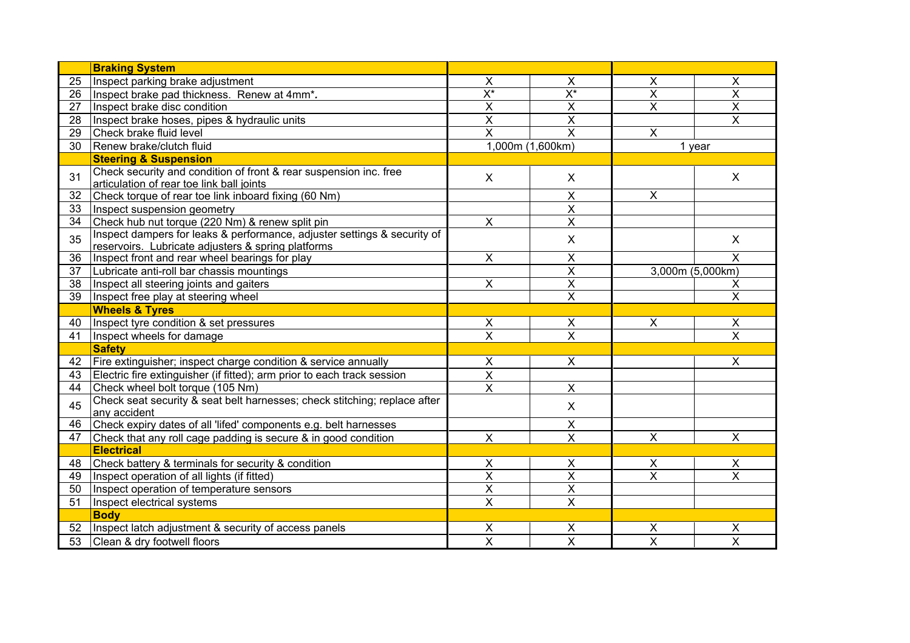|    | <b>Braking System</b>                                                                                                          |                           |                         |                         |                           |  |
|----|--------------------------------------------------------------------------------------------------------------------------------|---------------------------|-------------------------|-------------------------|---------------------------|--|
| 25 | Inspect parking brake adjustment                                                                                               | Χ                         | X                       | $\times$                | X                         |  |
| 26 | Inspect brake pad thickness. Renew at 4mm*.                                                                                    | $\overline{X^*}$          | $\overline{X^*}$        | $\overline{\mathsf{x}}$ | $\overline{\mathsf{x}}$   |  |
| 27 | Inspect brake disc condition                                                                                                   | $\overline{\mathsf{x}}$   | $\overline{\mathsf{x}}$ | $\overline{\mathsf{x}}$ | $\overline{\mathsf{x}}$   |  |
| 28 | Inspect brake hoses, pipes & hydraulic units                                                                                   | $\overline{\mathsf{x}}$   | $\overline{\mathsf{x}}$ |                         | $\overline{\mathsf{x}}$   |  |
| 29 | Check brake fluid level                                                                                                        | $\overline{\mathsf{x}}$   | X                       | $\pmb{\times}$          |                           |  |
| 30 | Renew brake/clutch fluid                                                                                                       |                           | 1,000m (1,600km)        |                         | 1 year                    |  |
|    | <b>Steering &amp; Suspension</b>                                                                                               |                           |                         |                         |                           |  |
| 31 | Check security and condition of front & rear suspension inc. free<br>articulation of rear toe link ball joints                 | $\mathsf{X}$              | $\mathsf{X}$            |                         | $\sf X$                   |  |
| 32 | Check torque of rear toe link inboard fixing (60 Nm)                                                                           |                           | $\mathsf{X}$            | $\pmb{\times}$          |                           |  |
| 33 | Inspect suspension geometry                                                                                                    |                           | $\overline{\mathsf{x}}$ |                         |                           |  |
| 34 | Check hub nut torque (220 Nm) & renew split pin                                                                                | $\boldsymbol{\mathsf{X}}$ | X                       |                         |                           |  |
| 35 | Inspect dampers for leaks & performance, adjuster settings & security of<br>reservoirs. Lubricate adjusters & spring platforms |                           | $\mathsf{X}$            |                         | X                         |  |
| 36 | Inspect front and rear wheel bearings for play                                                                                 | X                         | X                       |                         | X                         |  |
| 37 | Lubricate anti-roll bar chassis mountings                                                                                      |                           | $\overline{\mathsf{x}}$ |                         | 3,000m (5,000km)          |  |
| 38 | Inspect all steering joints and gaiters                                                                                        | $\overline{X}$            | $\overline{\mathsf{x}}$ |                         | X                         |  |
| 39 | Inspect free play at steering wheel                                                                                            |                           | $\overline{\mathsf{x}}$ |                         | $\overline{\mathsf{x}}$   |  |
|    | <b>Wheels &amp; Tyres</b>                                                                                                      |                           |                         |                         |                           |  |
| 40 | Inspect tyre condition & set pressures                                                                                         | X                         | X                       | $\pmb{\times}$          | X                         |  |
| 41 | Inspect wheels for damage                                                                                                      | $\overline{\mathsf{x}}$   | $\overline{\mathsf{x}}$ |                         | $\overline{\mathsf{x}}$   |  |
|    | <b>Safety</b>                                                                                                                  |                           |                         |                         |                           |  |
| 42 | Fire extinguisher; inspect charge condition & service annually                                                                 | X                         | $\overline{X}$          |                         | $\overline{\mathsf{x}}$   |  |
| 43 | Electric fire extinguisher (if fitted); arm prior to each track session                                                        | $\pmb{\times}$            |                         |                         |                           |  |
| 44 | Check wheel bolt torque (105 Nm)                                                                                               | $\pmb{\times}$            | $\mathsf{X}$            |                         |                           |  |
| 45 | Check seat security & seat belt harnesses; check stitching; replace after<br>any accident                                      |                           | $\mathsf{X}$            |                         |                           |  |
| 46 | Check expiry dates of all 'lifed' components e.g. belt harnesses                                                               |                           | $\pmb{\times}$          |                         |                           |  |
| 47 | Check that any roll cage padding is secure & in good condition                                                                 | $\mathsf{X}$              | $\overline{\mathsf{x}}$ | $\overline{\mathsf{x}}$ | $\boldsymbol{\mathsf{X}}$ |  |
|    | <b>Electrical</b>                                                                                                              |                           |                         |                         |                           |  |
| 48 | Check battery & terminals for security & condition                                                                             | $\mathsf{X}$              | $\mathsf{X}$            | $\pmb{\times}$          | $\times$                  |  |
| 49 | Inspect operation of all lights (if fitted)                                                                                    | $\overline{\mathsf{x}}$   | $\overline{\mathsf{x}}$ | $\overline{\mathsf{x}}$ | $\overline{\mathsf{x}}$   |  |
| 50 | Inspect operation of temperature sensors                                                                                       | $\overline{\mathsf{x}}$   | $\overline{\mathsf{x}}$ |                         |                           |  |
| 51 | Inspect electrical systems                                                                                                     | $\overline{\mathsf{x}}$   | $\overline{\mathsf{x}}$ |                         |                           |  |
|    | <b>Body</b>                                                                                                                    |                           |                         |                         |                           |  |
| 52 | Inspect latch adjustment & security of access panels                                                                           | $\pmb{\times}$            | $\pmb{\times}$          | $\pmb{\times}$          | Χ                         |  |
| 53 | Clean & dry footwell floors                                                                                                    | $\overline{\mathsf{x}}$   | $\overline{\mathsf{x}}$ | $\overline{\mathsf{x}}$ | X                         |  |